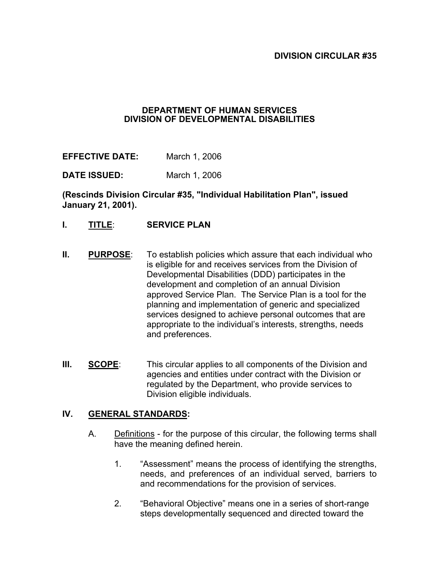#### **DEPARTMENT OF HUMAN SERVICES DIVISION OF DEVELOPMENTAL DISABILITIES**

**EFFECTIVE DATE:** March 1, 2006

**DATE ISSUED:** March 1, 2006

**(Rescinds Division Circular #35, "Individual Habilitation Plan", issued January 21, 2001).** 

- **I. TITLE**: **SERVICE PLAN**
- **II. PURPOSE**: To establish policies which assure that each individual who is eligible for and receives services from the Division of Developmental Disabilities (DDD) participates in the development and completion of an annual Division approved Service Plan. The Service Plan is a tool for the planning and implementation of generic and specialized services designed to achieve personal outcomes that are appropriate to the individual's interests, strengths, needs and preferences.
- **III. SCOPE:** This circular applies to all components of the Division and agencies and entities under contract with the Division or regulated by the Department, who provide services to Division eligible individuals.

#### **IV. GENERAL STANDARDS:**

- A. Definitions for the purpose of this circular, the following terms shall have the meaning defined herein.
	- 1. "Assessment" means the process of identifying the strengths, needs, and preferences of an individual served, barriers to and recommendations for the provision of services.
	- 2. "Behavioral Objective" means one in a series of short-range steps developmentally sequenced and directed toward the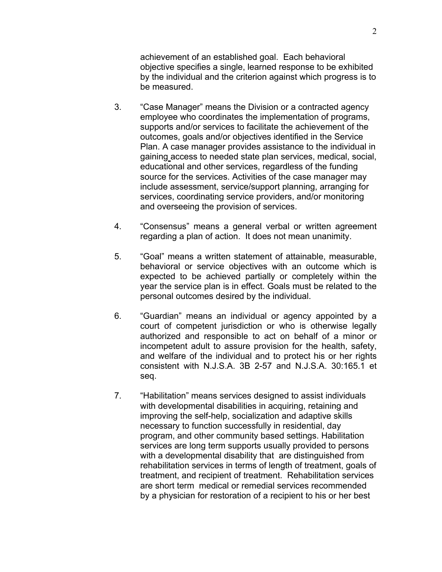achievement of an established goal. Each behavioral objective specifies a single, learned response to be exhibited by the individual and the criterion against which progress is to be measured.

- 3. "Case Manager" means the Division or a contracted agency employee who coordinates the implementation of programs, supports and/or services to facilitate the achievement of the outcomes, goals and/or objectives identified in the Service Plan. A case manager provides assistance to the individual in gaining access to needed state plan services, medical, social, educational and other services, regardless of the funding source for the services. Activities of the case manager may include assessment, service/support planning, arranging for services, coordinating service providers, and/or monitoring and overseeing the provision of services.
- 4. "Consensus" means a general verbal or written agreement regarding a plan of action. It does not mean unanimity.
- 5. "Goal" means a written statement of attainable, measurable, behavioral or service objectives with an outcome which is expected to be achieved partially or completely within the year the service plan is in effect. Goals must be related to the personal outcomes desired by the individual.
- 6. "Guardian" means an individual or agency appointed by a court of competent jurisdiction or who is otherwise legally authorized and responsible to act on behalf of a minor or incompetent adult to assure provision for the health, safety, and welfare of the individual and to protect his or her rights consistent with N.J.S.A. 3B 2-57 and N.J.S.A. 30:165.1 et seq.
- 7. "Habilitation" means services designed to assist individuals with developmental disabilities in acquiring, retaining and improving the self-help, socialization and adaptive skills necessary to function successfully in residential, day program, and other community based settings. Habilitation services are long term supports usually provided to persons with a developmental disability that are distinguished from rehabilitation services in terms of length of treatment, goals of treatment, and recipient of treatment. Rehabilitation services are short term medical or remedial services recommended by a physician for restoration of a recipient to his or her best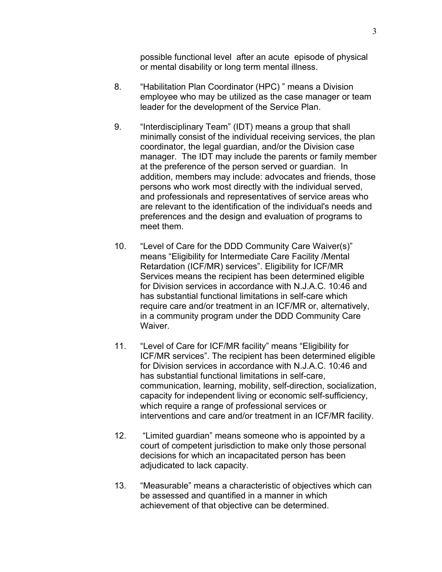possible functional level after an acute episode of physical or mental disability or long term mental illness.

- 8. "Habilitation Plan Coordinator (HPC) " means a Division employee who may be utilized as the case manager or team leader for the development of the Service Plan.
- 9. "Interdisciplinary Team" (IDT) means a group that shall minimally consist of the individual receiving services, the plan coordinator, the legal guardian, and/or the Division case manager. The IDT may include the parents or family member at the preference of the person served or guardian. In addition, members may include: advocates and friends, those persons who work most directly with the individual served, and professionals and representatives of service areas who are relevant to the identification of the individual's needs and preferences and the design and evaluation of programs to meet them.
- 10. "Level of Care for the DDD Community Care Waiver(s)" means "Eligibility for Intermediate Care Facility /Mental Retardation (ICF/MR) services". Eligibility for ICF/MR Services means the recipient has been determined eligible for Division services in accordance with N.J.A.C. 10:46 and has substantial functional limitations in self-care which require care and/or treatment in an ICF/MR or, alternatively, in a community program under the DDD Community Care Waiver.
- 11. "Level of Care for ICF/MR facility" means "Eligibility for ICF/MR services". The recipient has been determined eligible for Division services in accordance with N.J.A.C. 10:46 and has substantial functional limitations in self-care, communication, learning, mobility, self-direction, socialization, capacity for independent living or economic self-sufficiency, which require a range of professional services or interventions and care and/or treatment in an ICF/MR facility.
- 12. "Limited guardian" means someone who is appointed by a court of competent jurisdiction to make only those personal decisions for which an incapacitated person has been adjudicated to lack capacity.
- 13. "Measurable" means a characteristic of objectives which can be assessed and quantified in a manner in which achievement of that objective can be determined.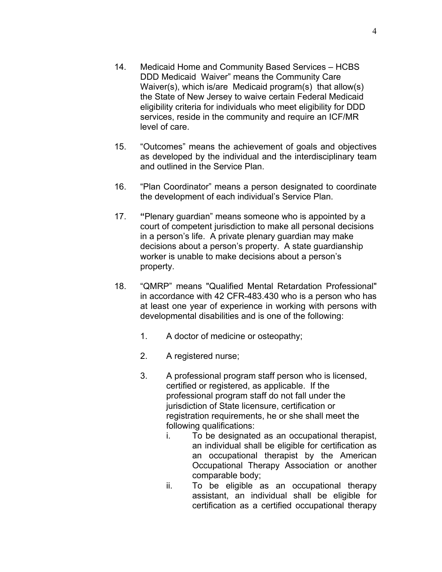- 14. Medicaid Home and Community Based Services HCBS DDD Medicaid Waiver" means the Community Care Waiver(s), which is/are Medicaid program(s) that allow(s) the State of New Jersey to waive certain Federal Medicaid eligibility criteria for individuals who meet eligibility for DDD services, reside in the community and require an ICF/MR level of care.
- 15. "Outcomes" means the achievement of goals and objectives as developed by the individual and the interdisciplinary team and outlined in the Service Plan.
- 16. "Plan Coordinator" means a person designated to coordinate the development of each individual's Service Plan.
- 17. **"**Plenary guardian" means someone who is appointed by a court of competent jurisdiction to make all personal decisions in a person's life. A private plenary guardian may make decisions about a person's property. A state guardianship worker is unable to make decisions about a person's property.
- 18. "QMRP" means "Qualified Mental Retardation Professional" in accordance with 42 CFR-483.430 who is a person who has at least one year of experience in working with persons with developmental disabilities and is one of the following:
	- 1. A doctor of medicine or osteopathy;
	- 2. A registered nurse;
	- 3. A professional program staff person who is licensed, certified or registered, as applicable. If the professional program staff do not fall under the jurisdiction of State licensure, certification or registration requirements, he or she shall meet the following qualifications:
		- i. To be designated as an occupational therapist, an individual shall be eligible for certification as an occupational therapist by the American Occupational Therapy Association or another comparable body;
		- ii. To be eligible as an occupational therapy assistant, an individual shall be eligible for certification as a certified occupational therapy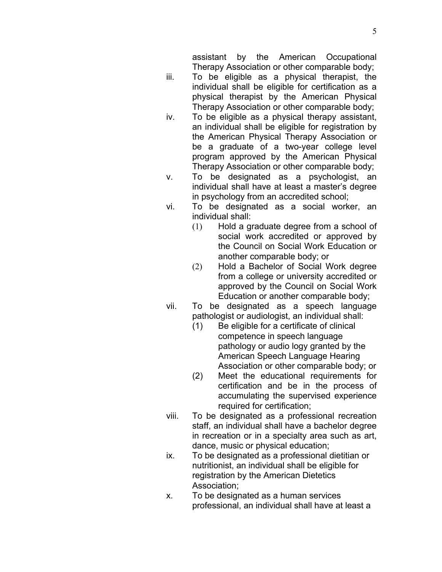assistant by the American Occupational Therapy Association or other comparable body;

- iii. To be eligible as a physical therapist, the individual shall be eligible for certification as a physical therapist by the American Physical Therapy Association or other comparable body;
- iv. To be eligible as a physical therapy assistant, an individual shall be eligible for registration by the American Physical Therapy Association or be a graduate of a two-year college level program approved by the American Physical Therapy Association or other comparable body;
- v. To be designated as a psychologist, an individual shall have at least a master's degree in psychology from an accredited school;
- vi. To be designated as a social worker, an individual shall:
	- (1) Hold a graduate degree from a school of social work accredited or approved by the Council on Social Work Education or another comparable body; or
	- (2) Hold a Bachelor of Social Work degree from a college or university accredited or approved by the Council on Social Work Education or another comparable body;
- vii. To be designated as a speech language pathologist or audiologist, an individual shall:
	- (1) Be eligible for a certificate of clinical competence in speech language pathology or audio logy granted by the American Speech Language Hearing Association or other comparable body; or
	- (2) Meet the educational requirements for certification and be in the process of accumulating the supervised experience required for certification;
- viii. To be designated as a professional recreation staff, an individual shall have a bachelor degree in recreation or in a specialty area such as art, dance, music or physical education;
- ix. To be designated as a professional dietitian or nutritionist, an individual shall be eligible for registration by the American Dietetics Association;
- x. To be designated as a human services professional, an individual shall have at least a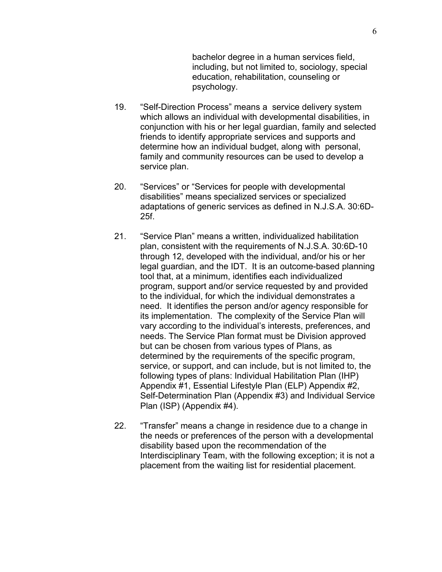bachelor degree in a human services field, including, but not limited to, sociology, special education, rehabilitation, counseling or psychology.

- 19. "Self-Direction Process" means a service delivery system which allows an individual with developmental disabilities, in conjunction with his or her legal guardian, family and selected friends to identify appropriate services and supports and determine how an individual budget, along with personal, family and community resources can be used to develop a service plan.
- 20. "Services" or "Services for people with developmental disabilities" means specialized services or specialized adaptations of generic services as defined in N.J.S.A. 30:6D-25f.
- 21. "Service Plan" means a written, individualized habilitation plan, consistent with the requirements of N.J.S.A. 30:6D-10 through 12, developed with the individual, and/or his or her legal guardian, and the IDT. It is an outcome-based planning tool that, at a minimum, identifies each individualized program, support and/or service requested by and provided to the individual, for which the individual demonstrates a need. It identifies the person and/or agency responsible for its implementation. The complexity of the Service Plan will vary according to the individual's interests, preferences, and needs. The Service Plan format must be Division approved but can be chosen from various types of Plans, as determined by the requirements of the specific program, service, or support, and can include, but is not limited to, the following types of plans: Individual Habilitation Plan (IHP) Appendix #1, Essential Lifestyle Plan (ELP) Appendix #2, Self-Determination Plan (Appendix #3) and Individual Service Plan (ISP) (Appendix #4).
- 22. "Transfer" means a change in residence due to a change in the needs or preferences of the person with a developmental disability based upon the recommendation of the Interdisciplinary Team, with the following exception; it is not a placement from the waiting list for residential placement.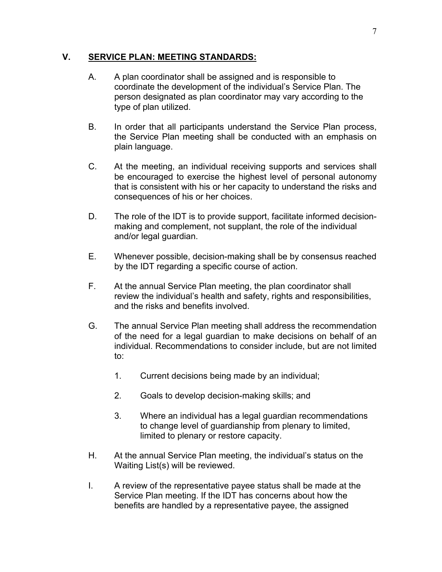#### **V. SERVICE PLAN: MEETING STANDARDS:**

- A. A plan coordinator shall be assigned and is responsible to coordinate the development of the individual's Service Plan. The person designated as plan coordinator may vary according to the type of plan utilized.
- B. In order that all participants understand the Service Plan process, the Service Plan meeting shall be conducted with an emphasis on plain language.
- C. At the meeting, an individual receiving supports and services shall be encouraged to exercise the highest level of personal autonomy that is consistent with his or her capacity to understand the risks and consequences of his or her choices.
- D. The role of the IDT is to provide support, facilitate informed decisionmaking and complement, not supplant, the role of the individual and/or legal guardian.
- E. Whenever possible, decision-making shall be by consensus reached by the IDT regarding a specific course of action.
- F. At the annual Service Plan meeting, the plan coordinator shall review the individual's health and safety, rights and responsibilities, and the risks and benefits involved.
- G. The annual Service Plan meeting shall address the recommendation of the need for a legal guardian to make decisions on behalf of an individual. Recommendations to consider include, but are not limited to:
	- 1. Current decisions being made by an individual;
	- 2. Goals to develop decision-making skills; and
	- 3. Where an individual has a legal guardian recommendations to change level of guardianship from plenary to limited, limited to plenary or restore capacity.
- H. At the annual Service Plan meeting, the individual's status on the Waiting List(s) will be reviewed.
- I. A review of the representative payee status shall be made at the Service Plan meeting. If the IDT has concerns about how the benefits are handled by a representative payee, the assigned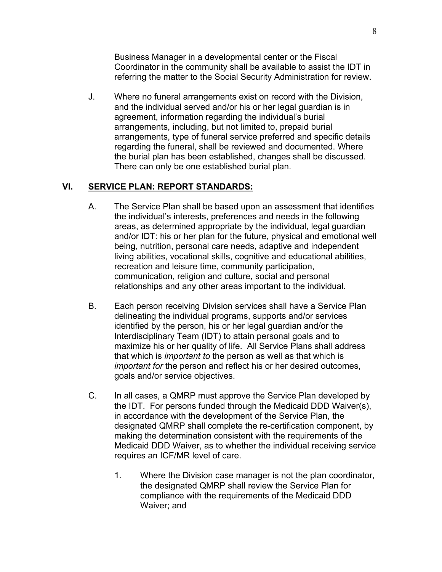Business Manager in a developmental center or the Fiscal Coordinator in the community shall be available to assist the IDT in referring the matter to the Social Security Administration for review.

J. Where no funeral arrangements exist on record with the Division, and the individual served and/or his or her legal guardian is in agreement, information regarding the individual's burial arrangements, including, but not limited to, prepaid burial arrangements, type of funeral service preferred and specific details regarding the funeral, shall be reviewed and documented. Where the burial plan has been established, changes shall be discussed. There can only be one established burial plan.

### **VI. SERVICE PLAN: REPORT STANDARDS:**

- A. The Service Plan shall be based upon an assessment that identifies the individual's interests, preferences and needs in the following areas, as determined appropriate by the individual, legal guardian and/or IDT: his or her plan for the future, physical and emotional well being, nutrition, personal care needs, adaptive and independent living abilities, vocational skills, cognitive and educational abilities, recreation and leisure time, community participation, communication, religion and culture, social and personal relationships and any other areas important to the individual.
- B. Each person receiving Division services shall have a Service Plan delineating the individual programs, supports and/or services identified by the person, his or her legal guardian and/or the Interdisciplinary Team (IDT) to attain personal goals and to maximize his or her quality of life. All Service Plans shall address that which is *important to* the person as well as that which is *important for* the person and reflect his or her desired outcomes, goals and/or service objectives.
- C. In all cases, a QMRP must approve the Service Plan developed by the IDT. For persons funded through the Medicaid DDD Waiver(s), in accordance with the development of the Service Plan, the designated QMRP shall complete the re-certification component, by making the determination consistent with the requirements of the Medicaid DDD Waiver, as to whether the individual receiving service requires an ICF/MR level of care.
	- 1. Where the Division case manager is not the plan coordinator, the designated QMRP shall review the Service Plan for compliance with the requirements of the Medicaid DDD Waiver; and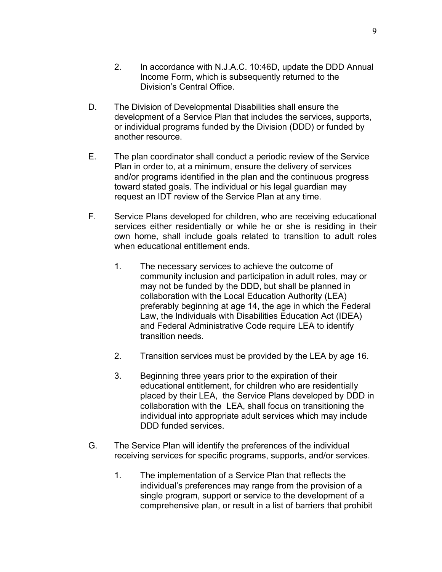- 2. In accordance with N.J.A.C. 10:46D, update the DDD Annual Income Form, which is subsequently returned to the Division's Central Office.
- D. The Division of Developmental Disabilities shall ensure the development of a Service Plan that includes the services, supports, or individual programs funded by the Division (DDD) or funded by another resource.
- E. The plan coordinator shall conduct a periodic review of the Service Plan in order to, at a minimum, ensure the delivery of services and/or programs identified in the plan and the continuous progress toward stated goals. The individual or his legal guardian may request an IDT review of the Service Plan at any time.
- F. Service Plans developed for children, who are receiving educational services either residentially or while he or she is residing in their own home, shall include goals related to transition to adult roles when educational entitlement ends.
	- 1. The necessary services to achieve the outcome of community inclusion and participation in adult roles, may or may not be funded by the DDD, but shall be planned in collaboration with the Local Education Authority (LEA) preferably beginning at age 14, the age in which the Federal Law, the Individuals with Disabilities Education Act (IDEA) and Federal Administrative Code require LEA to identify transition needs.
	- 2. Transition services must be provided by the LEA by age 16.
	- 3. Beginning three years prior to the expiration of their educational entitlement, for children who are residentially placed by their LEA, the Service Plans developed by DDD in collaboration with the LEA, shall focus on transitioning the individual into appropriate adult services which may include DDD funded services.
- G. The Service Plan will identify the preferences of the individual receiving services for specific programs, supports, and/or services.
	- 1. The implementation of a Service Plan that reflects the individual's preferences may range from the provision of a single program, support or service to the development of a comprehensive plan, or result in a list of barriers that prohibit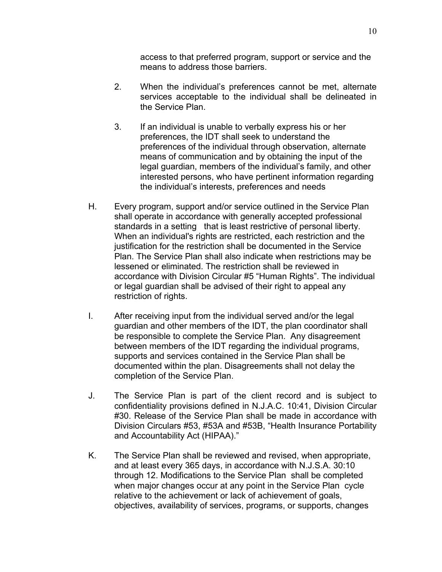access to that preferred program, support or service and the means to address those barriers.

- 2. When the individual's preferences cannot be met, alternate services acceptable to the individual shall be delineated in the Service Plan.
- 3. If an individual is unable to verbally express his or her preferences, the IDT shall seek to understand the preferences of the individual through observation, alternate means of communication and by obtaining the input of the legal guardian, members of the individual's family, and other interested persons, who have pertinent information regarding the individual's interests, preferences and needs
- H. Every program, support and/or service outlined in the Service Plan shall operate in accordance with generally accepted professional standards in a setting that is least restrictive of personal liberty. When an individual's rights are restricted, each restriction and the justification for the restriction shall be documented in the Service Plan. The Service Plan shall also indicate when restrictions may be lessened or eliminated. The restriction shall be reviewed in accordance with Division Circular #5 "Human Rights". The individual or legal guardian shall be advised of their right to appeal any restriction of rights.
- I. After receiving input from the individual served and/or the legal guardian and other members of the IDT, the plan coordinator shall be responsible to complete the Service Plan. Any disagreement between members of the IDT regarding the individual programs, supports and services contained in the Service Plan shall be documented within the plan. Disagreements shall not delay the completion of the Service Plan.
- J. The Service Plan is part of the client record and is subject to confidentiality provisions defined in N.J.A.C. 10:41, Division Circular #30. Release of the Service Plan shall be made in accordance with Division Circulars #53, #53A and #53B, "Health Insurance Portability and Accountability Act (HIPAA)."
- K. The Service Plan shall be reviewed and revised, when appropriate, and at least every 365 days, in accordance with N.J.S.A. 30:10 through 12. Modifications to the Service Plan shall be completed when major changes occur at any point in the Service Plan cycle relative to the achievement or lack of achievement of goals, objectives, availability of services, programs, or supports, changes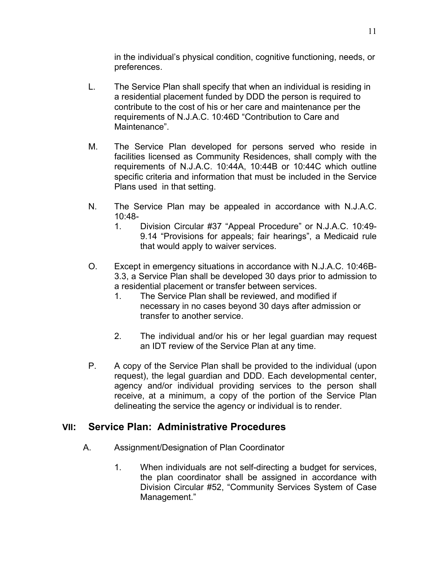in the individual's physical condition, cognitive functioning, needs, or preferences.

- L. The Service Plan shall specify that when an individual is residing in a residential placement funded by DDD the person is required to contribute to the cost of his or her care and maintenance per the requirements of N.J.A.C. 10:46D "Contribution to Care and Maintenance".
- M. The Service Plan developed for persons served who reside in facilities licensed as Community Residences, shall comply with the requirements of N.J.A.C. 10:44A, 10:44B or 10:44C which outline specific criteria and information that must be included in the Service Plans used in that setting.
- N. The Service Plan may be appealed in accordance with N.J.A.C. 10:48-
	- 1. Division Circular #37 "Appeal Procedure" or N.J.A.C. 10:49- 9.14 "Provisions for appeals; fair hearings", a Medicaid rule that would apply to waiver services.
- O. Except in emergency situations in accordance with N.J.A.C. 10:46B-3.3, a Service Plan shall be developed 30 days prior to admission to a residential placement or transfer between services.
	- 1. The Service Plan shall be reviewed, and modified if necessary in no cases beyond 30 days after admission or transfer to another service.
	- 2. The individual and/or his or her legal guardian may request an IDT review of the Service Plan at any time.
- P. A copy of the Service Plan shall be provided to the individual (upon request), the legal guardian and DDD. Each developmental center, agency and/or individual providing services to the person shall receive, at a minimum, a copy of the portion of the Service Plan delineating the service the agency or individual is to render.

### **VII: Service Plan: Administrative Procedures**

- A. Assignment/Designation of Plan Coordinator
	- 1. When individuals are not self-directing a budget for services, the plan coordinator shall be assigned in accordance with Division Circular #52, "Community Services System of Case Management."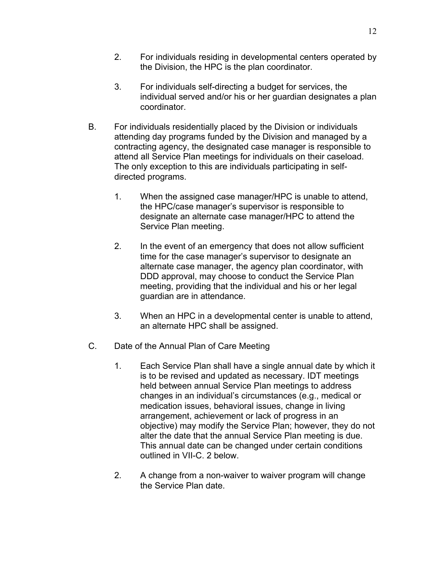- 2. For individuals residing in developmental centers operated by the Division, the HPC is the plan coordinator.
- 3. For individuals self-directing a budget for services, the individual served and/or his or her guardian designates a plan coordinator.
- B. For individuals residentially placed by the Division or individuals attending day programs funded by the Division and managed by a contracting agency, the designated case manager is responsible to attend all Service Plan meetings for individuals on their caseload. The only exception to this are individuals participating in selfdirected programs.
	- 1. When the assigned case manager/HPC is unable to attend, the HPC/case manager's supervisor is responsible to designate an alternate case manager/HPC to attend the Service Plan meeting.
	- 2. In the event of an emergency that does not allow sufficient time for the case manager's supervisor to designate an alternate case manager, the agency plan coordinator, with DDD approval, may choose to conduct the Service Plan meeting, providing that the individual and his or her legal guardian are in attendance.
	- 3. When an HPC in a developmental center is unable to attend, an alternate HPC shall be assigned.
- C. Date of the Annual Plan of Care Meeting
	- 1. Each Service Plan shall have a single annual date by which it is to be revised and updated as necessary. IDT meetings held between annual Service Plan meetings to address changes in an individual's circumstances (e.g., medical or medication issues, behavioral issues, change in living arrangement, achievement or lack of progress in an objective) may modify the Service Plan; however, they do not alter the date that the annual Service Plan meeting is due. This annual date can be changed under certain conditions outlined in VII-C. 2 below.
	- 2. A change from a non-waiver to waiver program will change the Service Plan date.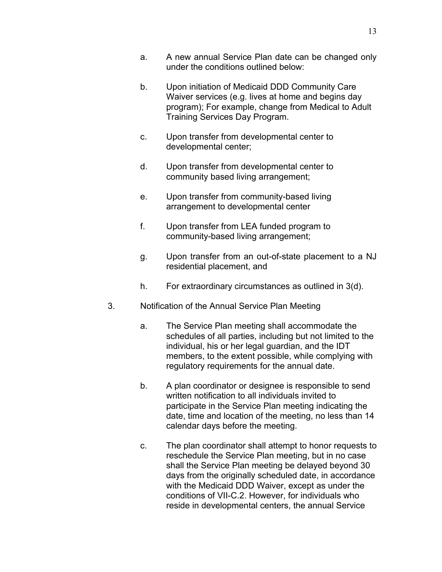- a. A new annual Service Plan date can be changed only under the conditions outlined below:
- b. Upon initiation of Medicaid DDD Community Care Waiver services (e.g. lives at home and begins day program); For example, change from Medical to Adult Training Services Day Program.
- c. Upon transfer from developmental center to developmental center;
- d. Upon transfer from developmental center to community based living arrangement;
- e. Upon transfer from community-based living arrangement to developmental center
- f. Upon transfer from LEA funded program to community-based living arrangement;
- g. Upon transfer from an out-of-state placement to a NJ residential placement, and
- h. For extraordinary circumstances as outlined in 3(d).
- 3. Notification of the Annual Service Plan Meeting
	- a. The Service Plan meeting shall accommodate the schedules of all parties, including but not limited to the individual, his or her legal guardian, and the IDT members, to the extent possible, while complying with regulatory requirements for the annual date.
	- b. A plan coordinator or designee is responsible to send written notification to all individuals invited to participate in the Service Plan meeting indicating the date, time and location of the meeting, no less than 14 calendar days before the meeting.
	- c. The plan coordinator shall attempt to honor requests to reschedule the Service Plan meeting, but in no case shall the Service Plan meeting be delayed beyond 30 days from the originally scheduled date, in accordance with the Medicaid DDD Waiver, except as under the conditions of VII-C.2. However, for individuals who reside in developmental centers, the annual Service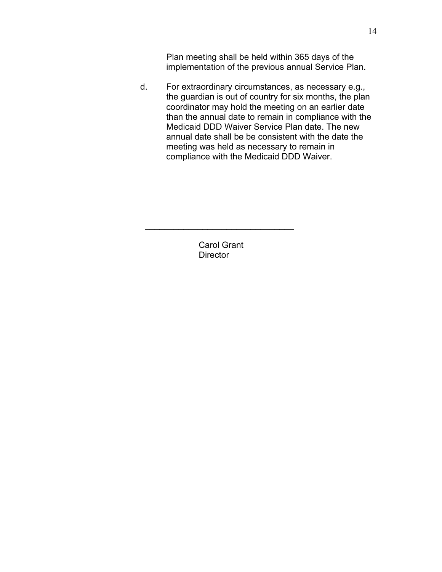Plan meeting shall be held within 365 days of the implementation of the previous annual Service Plan.

d. For extraordinary circumstances, as necessary e.g., the guardian is out of country for six months, the plan coordinator may hold the meeting on an earlier date than the annual date to remain in compliance with the Medicaid DDD Waiver Service Plan date. The new annual date shall be be consistent with the date the meeting was held as necessary to remain in compliance with the Medicaid DDD Waiver.

> Carol Grant **Director**

 $\_$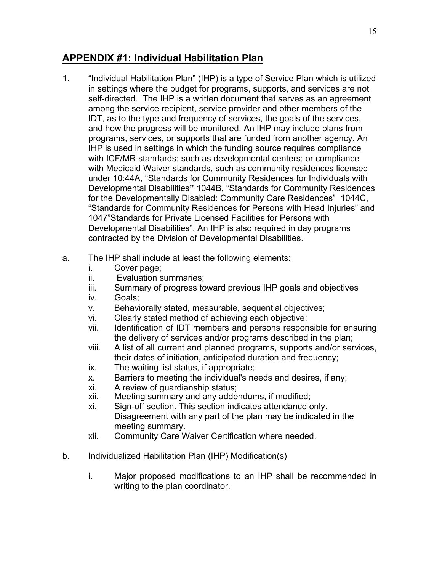## **APPENDIX #1: Individual Habilitation Plan**

- 1. "Individual Habilitation Plan" (IHP) is a type of Service Plan which is utilized in settings where the budget for programs, supports, and services are not self-directed. The IHP is a written document that serves as an agreement among the service recipient, service provider and other members of the IDT, as to the type and frequency of services, the goals of the services, and how the progress will be monitored. An IHP may include plans from programs, services, or supports that are funded from another agency. An IHP is used in settings in which the funding source requires compliance with ICF/MR standards; such as developmental centers; or compliance with Medicaid Waiver standards, such as community residences licensed under 10:44A, "Standards for Community Residences for Individuals with Developmental Disabilities**"** 1044B, "Standards for Community Residences for the Developmentally Disabled: Community Care Residences" 1044C, "Standards for Community Residences for Persons with Head Injuries" and 1047"Standards for Private Licensed Facilities for Persons with Developmental Disabilities". An IHP is also required in day programs contracted by the Division of Developmental Disabilities.
- a. The IHP shall include at least the following elements:
	- i. Cover page;
	- ii. Evaluation summaries;
	- iii. Summary of progress toward previous IHP goals and objectives
	- iv. Goals;
	- v. Behaviorally stated, measurable, sequential objectives;
	- vi. Clearly stated method of achieving each objective;
	- vii. Identification of IDT members and persons responsible for ensuring the delivery of services and/or programs described in the plan;
	- viii. A list of all current and planned programs, supports and/or services, their dates of initiation, anticipated duration and frequency;
	- ix. The waiting list status, if appropriate;
	- x. Barriers to meeting the individual's needs and desires, if any;
	- xi. A review of guardianship status;
	- xii. Meeting summary and any addendums, if modified;
	- xi. Sign-off section. This section indicates attendance only. Disagreement with any part of the plan may be indicated in the meeting summary.
	- xii. Community Care Waiver Certification where needed.
- b. Individualized Habilitation Plan (IHP) Modification(s)
	- i. Major proposed modifications to an IHP shall be recommended in writing to the plan coordinator.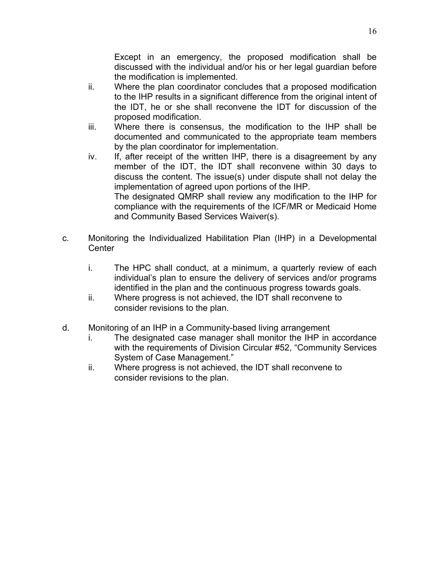Except in an emergency, the proposed modification shall be discussed with the individual and/or his or her legal guardian before the modification is implemented.

- ii. Where the plan coordinator concludes that a proposed modification to the IHP results in a significant difference from the original intent of the IDT, he or she shall reconvene the IDT for discussion of the proposed modification.
- iii. Where there is consensus, the modification to the IHP shall be documented and communicated to the appropriate team members by the plan coordinator for implementation.
- iv. If, after receipt of the written IHP, there is a disagreement by any member of the IDT, the IDT shall reconvene within 30 days to discuss the content. The issue(s) under dispute shall not delay the implementation of agreed upon portions of the IHP. The designated QMRP shall review any modification to the IHP for compliance with the requirements of the ICF/MR or Medicaid Home
- c. Monitoring the Individualized Habilitation Plan (IHP) in a Developmental Center
	- i. The HPC shall conduct, at a minimum, a quarterly review of each individual's plan to ensure the delivery of services and/or programs identified in the plan and the continuous progress towards goals.
	- ii. Where progress is not achieved, the IDT shall reconvene to consider revisions to the plan.
- d. Monitoring of an IHP in a Community-based living arrangement

and Community Based Services Waiver(s).

- i. The designated case manager shall monitor the IHP in accordance with the requirements of Division Circular #52, "Community Services System of Case Management."
- ii. Where progress is not achieved, the IDT shall reconvene to consider revisions to the plan.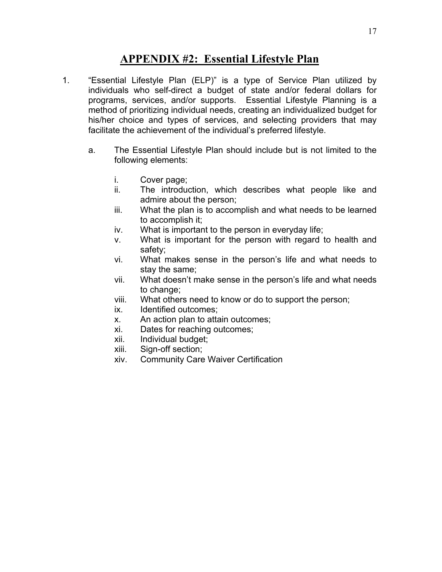## **APPENDIX #2: Essential Lifestyle Plan**

- 1. "Essential Lifestyle Plan (ELP)" is a type of Service Plan utilized by individuals who self-direct a budget of state and/or federal dollars for programs, services, and/or supports. Essential Lifestyle Planning is a method of prioritizing individual needs, creating an individualized budget for his/her choice and types of services, and selecting providers that may facilitate the achievement of the individual's preferred lifestyle.
	- a. The Essential Lifestyle Plan should include but is not limited to the following elements:
		- i. Cover page;
		- ii. The introduction, which describes what people like and admire about the person;
		- iii. What the plan is to accomplish and what needs to be learned to accomplish it;
		- iv. What is important to the person in everyday life;
		- v. What is important for the person with regard to health and safety;
		- vi. What makes sense in the person's life and what needs to stay the same;
		- vii. What doesn't make sense in the person's life and what needs to change:
		- viii. What others need to know or do to support the person;
		- ix. Identified outcomes;
		- x. An action plan to attain outcomes;
		- xi. Dates for reaching outcomes;
		- xii. Individual budget;
		- xiii. Sign-off section;
		- xiv. Community Care Waiver Certification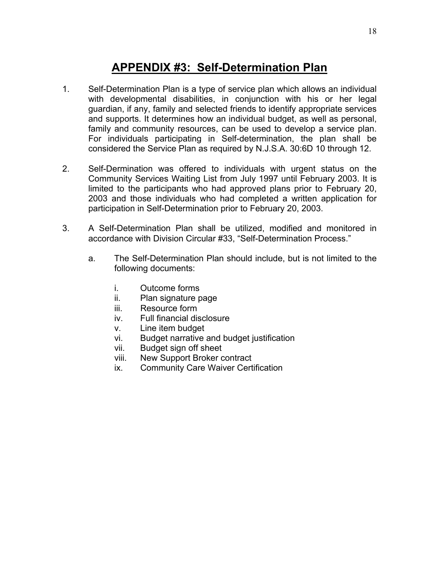# **APPENDIX #3: Self-Determination Plan**

- 1. Self-Determination Plan is a type of service plan which allows an individual with developmental disabilities, in conjunction with his or her legal guardian, if any, family and selected friends to identify appropriate services and supports. It determines how an individual budget, as well as personal, family and community resources, can be used to develop a service plan. For individuals participating in Self-determination, the plan shall be considered the Service Plan as required by N.J.S.A. 30:6D 10 through 12.
- 2. Self-Dermination was offered to individuals with urgent status on the Community Services Waiting List from July 1997 until February 2003. It is limited to the participants who had approved plans prior to February 20, 2003 and those individuals who had completed a written application for participation in Self-Determination prior to February 20, 2003.
- 3. A Self-Determination Plan shall be utilized, modified and monitored in accordance with Division Circular #33, "Self-Determination Process."
	- a. The Self-Determination Plan should include, but is not limited to the following documents:
		- i. Outcome forms
		- ii. Plan signature page
		- iii. Resource form
		- iv. Full financial disclosure
		- v. Line item budget
		- vi. Budget narrative and budget justification
		- vii. Budget sign off sheet
		- viii. New Support Broker contract
		- ix. Community Care Waiver Certification